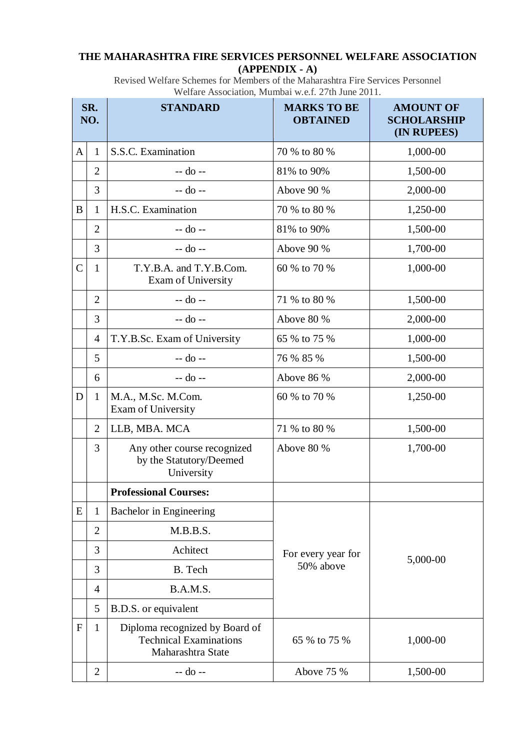## **THE MAHARASHTRA FIRE SERVICES PERSONNEL WELFARE ASSOCIATION (APPENDIX - A)**

Revised Welfare Schemes for Members of the Maharashtra Fire Services Personnel Welfare Association, Mumbai w.e.f. 27th June 2011.

| SR.<br>NO.     |                | <b>STANDARD</b>                                                                      | <b>MARKS TO BE</b><br><b>OBTAINED</b> | <b>AMOUNT OF</b><br><b>SCHOLARSHIP</b><br>(IN RUPEES) |
|----------------|----------------|--------------------------------------------------------------------------------------|---------------------------------------|-------------------------------------------------------|
| A              | $\mathbf{1}$   | S.S.C. Examination                                                                   | 70 % to 80 %                          | 1,000-00                                              |
|                | $\overline{2}$ | -- do --                                                                             | 81% to 90%                            | 1,500-00                                              |
|                | 3              | -- do --                                                                             | Above 90 %                            | 2,000-00                                              |
| B              | 1              | H.S.C. Examination                                                                   | 70 % to 80 %                          | 1,250-00                                              |
|                | $\overline{2}$ | -- do --                                                                             | 81% to 90%                            | 1,500-00                                              |
|                | 3              | -- do --                                                                             | Above 90 %                            | 1,700-00                                              |
| $\overline{C}$ | $\mathbf{1}$   | T.Y.B.A. and T.Y.B.Com.<br>Exam of University                                        | 60 % to 70 %                          | 1,000-00                                              |
|                | $\overline{2}$ | -- do --                                                                             | 71 % to 80 %                          | 1,500-00                                              |
|                | 3              | -- do --                                                                             | Above 80 %                            | 2,000-00                                              |
|                | 4              | T.Y.B.Sc. Exam of University                                                         | 65 % to 75 %                          | 1,000-00                                              |
|                | 5              | -- do --                                                                             | 76 % 85 %                             | 1,500-00                                              |
|                | 6              | -- do --                                                                             | Above 86 %                            | 2,000-00                                              |
| D              | 1              | M.A., M.Sc. M.Com.<br><b>Exam of University</b>                                      | 60 % to 70 %                          | 1,250-00                                              |
|                | $\overline{2}$ | LLB, MBA. MCA                                                                        | 71 % to 80 %                          | 1,500-00                                              |
|                | 3              | Any other course recognized<br>by the Statutory/Deemed<br>University                 | Above 80 %                            | 1,700-00                                              |
|                |                | <b>Professional Courses:</b>                                                         |                                       |                                                       |
| E              | $\mathbf{1}$   | Bachelor in Engineering                                                              |                                       |                                                       |
|                | $\overline{2}$ | M.B.B.S.                                                                             | For every year for<br>50% above       | 5,000-00                                              |
|                | 3              | Achitect                                                                             |                                       |                                                       |
|                | 3              | B. Tech                                                                              |                                       |                                                       |
|                | 4              | B.A.M.S.                                                                             |                                       |                                                       |
|                | 5              | B.D.S. or equivalent                                                                 |                                       |                                                       |
| F              | $\mathbf{1}$   | Diploma recognized by Board of<br><b>Technical Examinations</b><br>Maharashtra State | 65 % to 75 %                          | 1,000-00                                              |
|                | $\overline{2}$ | -- do --                                                                             | Above 75 %                            | 1,500-00                                              |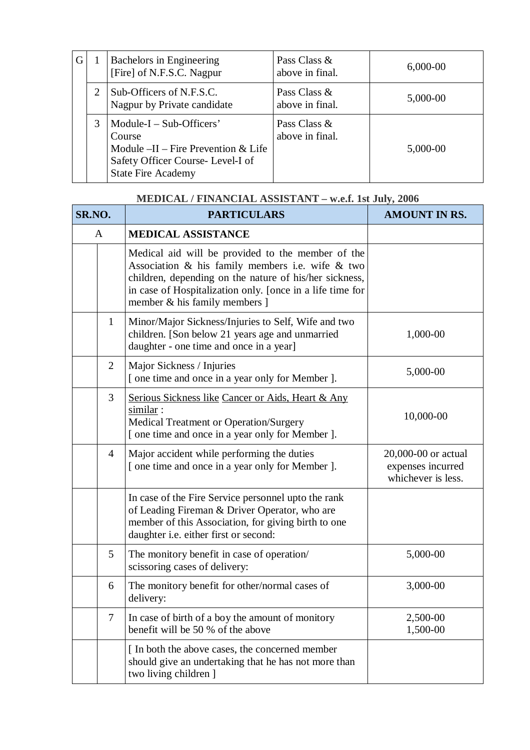| G |   | Bachelors in Engineering<br>[Fire] of N.F.S.C. Nagpur                                                                                          | Pass Class &<br>above in final. | $6,000-00$ |
|---|---|------------------------------------------------------------------------------------------------------------------------------------------------|---------------------------------|------------|
|   |   | Sub-Officers of N.F.S.C.<br>Nagpur by Private candidate                                                                                        | Pass Class &<br>above in final. | 5,000-00   |
|   | 3 | $Module-I - Sub-Officers'$<br>Course<br>Module $-II$ – Fire Prevention & Life<br>Safety Officer Course-Level-I of<br><b>State Fire Academy</b> | Pass Class &<br>above in final. | 5,000-00   |

## **MEDICAL / FINANCIAL ASSISTANT – w.e.f. 1st July, 2006**

| SR.NO.         | <b>PARTICULARS</b>                                                                                                                                                                                                                                                  | <b>AMOUNT IN RS.</b>                                           |
|----------------|---------------------------------------------------------------------------------------------------------------------------------------------------------------------------------------------------------------------------------------------------------------------|----------------------------------------------------------------|
| $\mathbf{A}$   | <b>MEDICAL ASSISTANCE</b>                                                                                                                                                                                                                                           |                                                                |
|                | Medical aid will be provided to the member of the<br>Association $\&$ his family members i.e. wife $\&$ two<br>children, depending on the nature of his/her sickness,<br>in case of Hospitalization only. [once in a life time for<br>member & his family members ] |                                                                |
| $\mathbf{1}$   | Minor/Major Sickness/Injuries to Self, Wife and two<br>children. [Son below 21 years age and unmarried<br>daughter - one time and once in a year]                                                                                                                   | 1,000-00                                                       |
| 2              | Major Sickness / Injuries<br>[ one time and once in a year only for Member ].                                                                                                                                                                                       | 5,000-00                                                       |
| 3              | Serious Sickness like Cancer or Aids, Heart & Any<br>similar:<br>Medical Treatment or Operation/Surgery<br>[ one time and once in a year only for Member ].                                                                                                         | 10,000-00                                                      |
| $\overline{4}$ | Major accident while performing the duties<br>[ one time and once in a year only for Member ].                                                                                                                                                                      | 20,000-00 or actual<br>expenses incurred<br>whichever is less. |
|                | In case of the Fire Service personnel upto the rank<br>of Leading Fireman & Driver Operator, who are<br>member of this Association, for giving birth to one<br>daughter i.e. either first or second:                                                                |                                                                |
| $\mathfrak{S}$ | The monitory benefit in case of operation/<br>scissoring cases of delivery:                                                                                                                                                                                         | 5,000-00                                                       |
| 6              | The monitory benefit for other/normal cases of<br>delivery:                                                                                                                                                                                                         | 3,000-00                                                       |
| $\overline{7}$ | In case of birth of a boy the amount of monitory<br>benefit will be 50 % of the above                                                                                                                                                                               | 2,500-00<br>1,500-00                                           |
|                | [ In both the above cases, the concerned member<br>should give an undertaking that he has not more than<br>two living children ]                                                                                                                                    |                                                                |